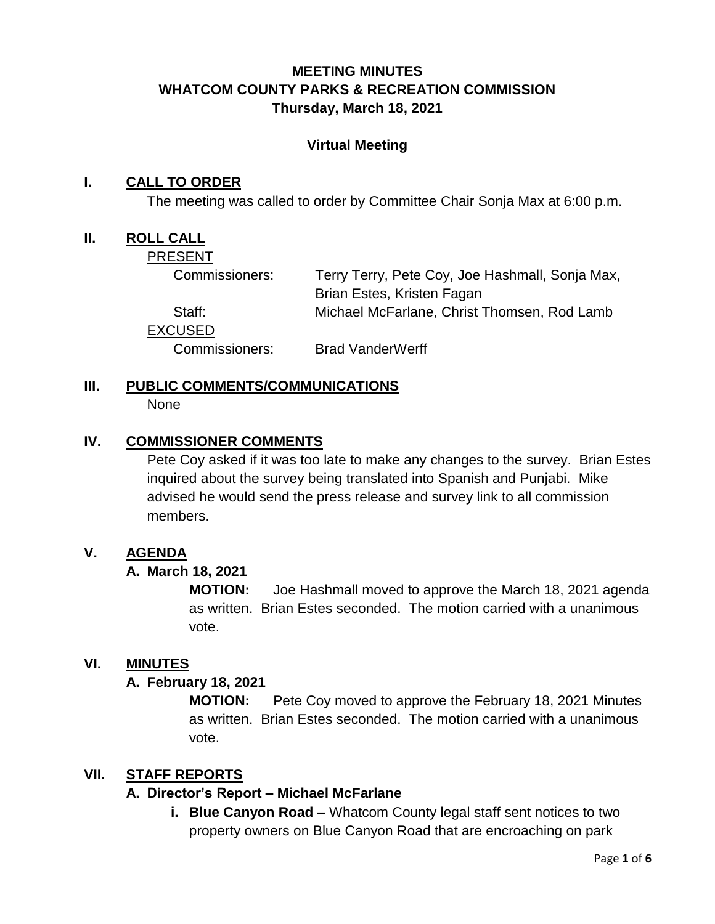# **MEETING MINUTES WHATCOM COUNTY PARKS & RECREATION COMMISSION Thursday, March 18, 2021**

#### **Virtual Meeting**

#### **I. CALL TO ORDER**

The meeting was called to order by Committee Chair Sonja Max at 6:00 p.m.

#### **II. ROLL CALL**

#### PRESENT

| Commissioners:             | Terry Terry, Pete Coy, Joe Hashmall, Sonja Max, |
|----------------------------|-------------------------------------------------|
|                            | Brian Estes, Kristen Fagan                      |
| Staff:                     | Michael McFarlane, Christ Thomsen, Rod Lamb     |
| <b>(CUSED</b>              |                                                 |
| Commissioners <sup>.</sup> | Brad <i>VanderWerff</i>                         |

EX

Commissioners: Brad VanderWerff

## **III. PUBLIC COMMENTS/COMMUNICATIONS**

None

#### **IV. COMMISSIONER COMMENTS**

Pete Coy asked if it was too late to make any changes to the survey. Brian Estes inquired about the survey being translated into Spanish and Punjabi. Mike advised he would send the press release and survey link to all commission members.

### **V. AGENDA**

#### **A. March 18, 2021**

**MOTION:** Joe Hashmall moved to approve the March 18, 2021 agenda as written. Brian Estes seconded. The motion carried with a unanimous vote.

#### **VI. MINUTES**

#### **A. February 18, 2021**

**MOTION:** Pete Coy moved to approve the February 18, 2021 Minutes as written. Brian Estes seconded. The motion carried with a unanimous vote.

## **VII. STAFF REPORTS**

#### **A. Director's Report – Michael McFarlane**

**i. Blue Canyon Road –** Whatcom County legal staff sent notices to two property owners on Blue Canyon Road that are encroaching on park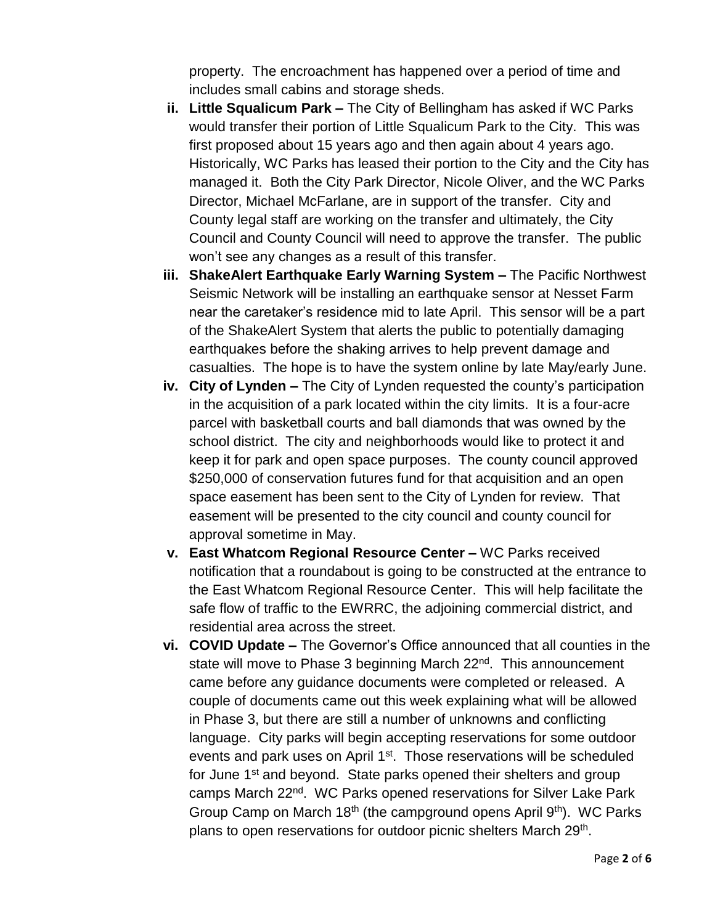property. The encroachment has happened over a period of time and includes small cabins and storage sheds.

- **ii. Little Squalicum Park –** The City of Bellingham has asked if WC Parks would transfer their portion of Little Squalicum Park to the City. This was first proposed about 15 years ago and then again about 4 years ago. Historically, WC Parks has leased their portion to the City and the City has managed it. Both the City Park Director, Nicole Oliver, and the WC Parks Director, Michael McFarlane, are in support of the transfer. City and County legal staff are working on the transfer and ultimately, the City Council and County Council will need to approve the transfer. The public won't see any changes as a result of this transfer.
- **iii. ShakeAlert Earthquake Early Warning System –** The Pacific Northwest Seismic Network will be installing an earthquake sensor at Nesset Farm near the caretaker's residence mid to late April. This sensor will be a part of the ShakeAlert System that alerts the public to potentially damaging earthquakes before the shaking arrives to help prevent damage and casualties. The hope is to have the system online by late May/early June.
- **iv. City of Lynden –** The City of Lynden requested the county's participation in the acquisition of a park located within the city limits. It is a four-acre parcel with basketball courts and ball diamonds that was owned by the school district. The city and neighborhoods would like to protect it and keep it for park and open space purposes. The county council approved \$250,000 of conservation futures fund for that acquisition and an open space easement has been sent to the City of Lynden for review. That easement will be presented to the city council and county council for approval sometime in May.
- **v. East Whatcom Regional Resource Center –** WC Parks received notification that a roundabout is going to be constructed at the entrance to the East Whatcom Regional Resource Center. This will help facilitate the safe flow of traffic to the EWRRC, the adjoining commercial district, and residential area across the street.
- **vi. COVID Update –** The Governor's Office announced that all counties in the state will move to Phase 3 beginning March 22<sup>nd</sup>. This announcement came before any guidance documents were completed or released. A couple of documents came out this week explaining what will be allowed in Phase 3, but there are still a number of unknowns and conflicting language. City parks will begin accepting reservations for some outdoor events and park uses on April 1<sup>st</sup>. Those reservations will be scheduled for June 1<sup>st</sup> and beyond. State parks opened their shelters and group camps March 22nd. WC Parks opened reservations for Silver Lake Park Group Camp on March 18<sup>th</sup> (the campground opens April 9<sup>th</sup>). WC Parks plans to open reservations for outdoor picnic shelters March 29<sup>th</sup>.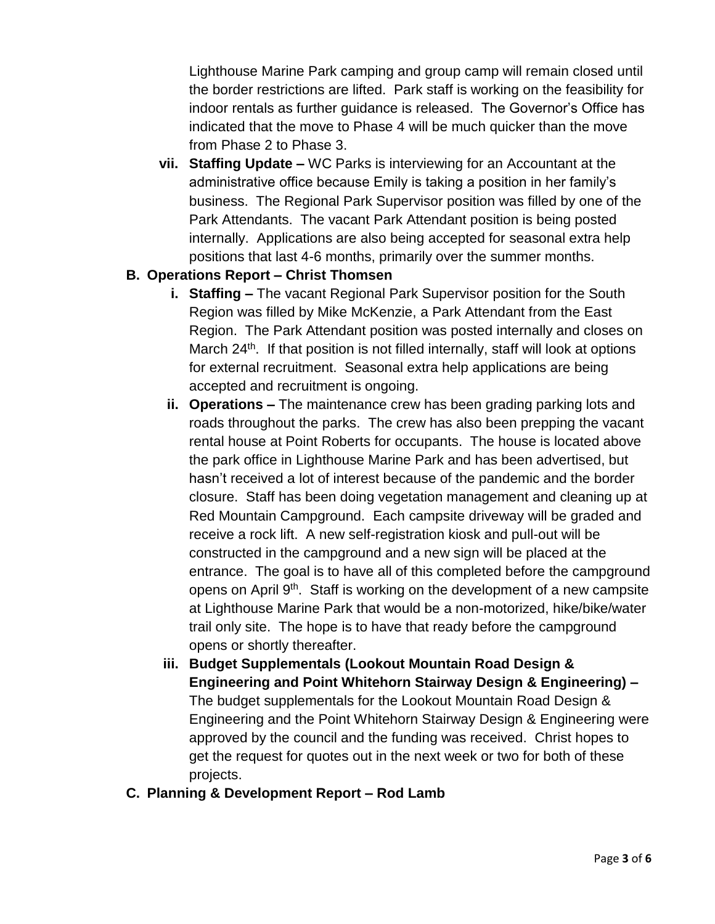Lighthouse Marine Park camping and group camp will remain closed until the border restrictions are lifted. Park staff is working on the feasibility for indoor rentals as further guidance is released. The Governor's Office has indicated that the move to Phase 4 will be much quicker than the move from Phase 2 to Phase 3.

**vii. Staffing Update –** WC Parks is interviewing for an Accountant at the administrative office because Emily is taking a position in her family's business. The Regional Park Supervisor position was filled by one of the Park Attendants. The vacant Park Attendant position is being posted internally. Applications are also being accepted for seasonal extra help positions that last 4-6 months, primarily over the summer months.

### **B. Operations Report – Christ Thomsen**

- **i. Staffing –** The vacant Regional Park Supervisor position for the South Region was filled by Mike McKenzie, a Park Attendant from the East Region. The Park Attendant position was posted internally and closes on March 24<sup>th</sup>. If that position is not filled internally, staff will look at options for external recruitment. Seasonal extra help applications are being accepted and recruitment is ongoing.
- **ii. Operations –** The maintenance crew has been grading parking lots and roads throughout the parks. The crew has also been prepping the vacant rental house at Point Roberts for occupants. The house is located above the park office in Lighthouse Marine Park and has been advertised, but hasn't received a lot of interest because of the pandemic and the border closure. Staff has been doing vegetation management and cleaning up at Red Mountain Campground. Each campsite driveway will be graded and receive a rock lift. A new self-registration kiosk and pull-out will be constructed in the campground and a new sign will be placed at the entrance. The goal is to have all of this completed before the campground opens on April 9<sup>th</sup>. Staff is working on the development of a new campsite at Lighthouse Marine Park that would be a non-motorized, hike/bike/water trail only site. The hope is to have that ready before the campground opens or shortly thereafter.
- **iii. Budget Supplementals (Lookout Mountain Road Design & Engineering and Point Whitehorn Stairway Design & Engineering) –** The budget supplementals for the Lookout Mountain Road Design & Engineering and the Point Whitehorn Stairway Design & Engineering were approved by the council and the funding was received. Christ hopes to get the request for quotes out in the next week or two for both of these projects.
- **C. Planning & Development Report – Rod Lamb**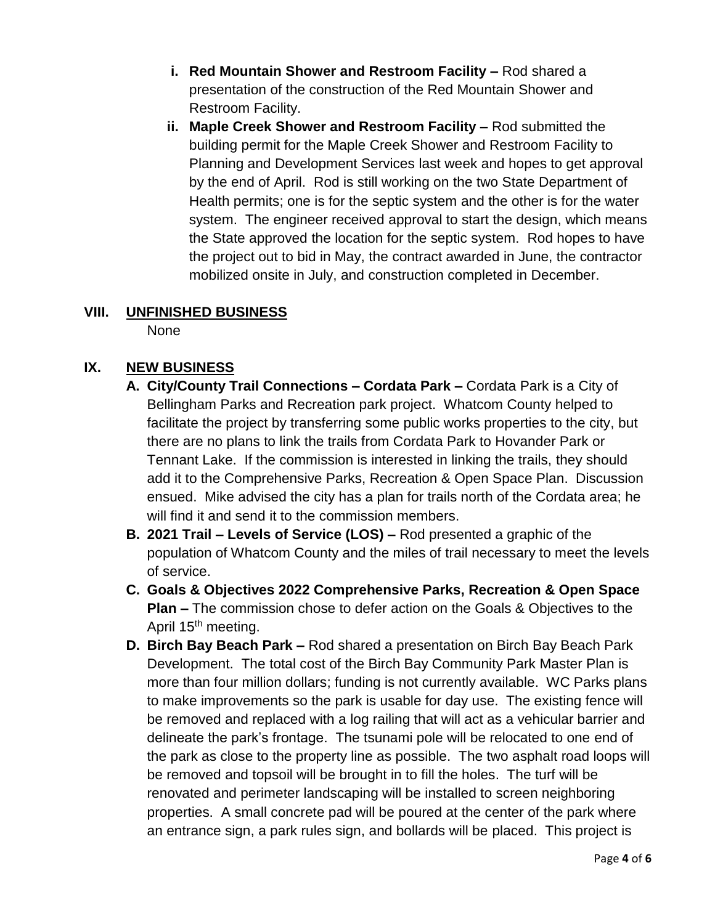- **i. Red Mountain Shower and Restroom Facility –** Rod shared a presentation of the construction of the Red Mountain Shower and Restroom Facility.
- **ii. Maple Creek Shower and Restroom Facility –** Rod submitted the building permit for the Maple Creek Shower and Restroom Facility to Planning and Development Services last week and hopes to get approval by the end of April. Rod is still working on the two State Department of Health permits; one is for the septic system and the other is for the water system. The engineer received approval to start the design, which means the State approved the location for the septic system. Rod hopes to have the project out to bid in May, the contract awarded in June, the contractor mobilized onsite in July, and construction completed in December.

## **VIII. UNFINISHED BUSINESS**

None

### **IX. NEW BUSINESS**

- **A. City/County Trail Connections – Cordata Park –** Cordata Park is a City of Bellingham Parks and Recreation park project. Whatcom County helped to facilitate the project by transferring some public works properties to the city, but there are no plans to link the trails from Cordata Park to Hovander Park or Tennant Lake. If the commission is interested in linking the trails, they should add it to the Comprehensive Parks, Recreation & Open Space Plan. Discussion ensued. Mike advised the city has a plan for trails north of the Cordata area; he will find it and send it to the commission members.
- **B. 2021 Trail – Levels of Service (LOS) –** Rod presented a graphic of the population of Whatcom County and the miles of trail necessary to meet the levels of service.
- **C. Goals & Objectives 2022 Comprehensive Parks, Recreation & Open Space Plan –** The commission chose to defer action on the Goals & Objectives to the April 15<sup>th</sup> meeting.
- **D. Birch Bay Beach Park –** Rod shared a presentation on Birch Bay Beach Park Development. The total cost of the Birch Bay Community Park Master Plan is more than four million dollars; funding is not currently available. WC Parks plans to make improvements so the park is usable for day use. The existing fence will be removed and replaced with a log railing that will act as a vehicular barrier and delineate the park's frontage. The tsunami pole will be relocated to one end of the park as close to the property line as possible. The two asphalt road loops will be removed and topsoil will be brought in to fill the holes. The turf will be renovated and perimeter landscaping will be installed to screen neighboring properties. A small concrete pad will be poured at the center of the park where an entrance sign, a park rules sign, and bollards will be placed. This project is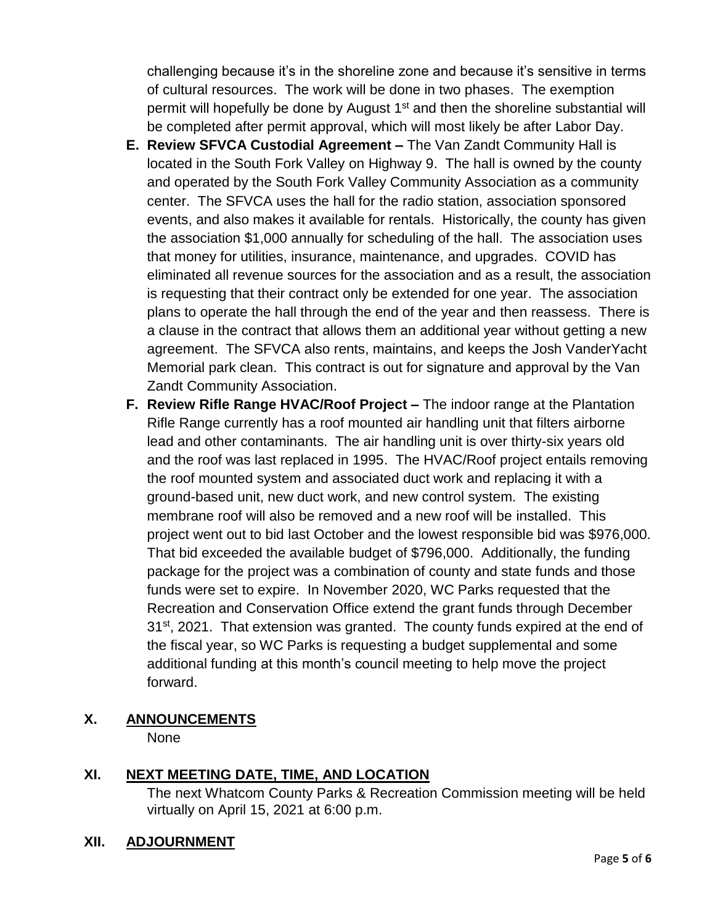challenging because it's in the shoreline zone and because it's sensitive in terms of cultural resources. The work will be done in two phases. The exemption permit will hopefully be done by August 1<sup>st</sup> and then the shoreline substantial will be completed after permit approval, which will most likely be after Labor Day.

- **E. Review SFVCA Custodial Agreement –** The Van Zandt Community Hall is located in the South Fork Valley on Highway 9. The hall is owned by the county and operated by the South Fork Valley Community Association as a community center. The SFVCA uses the hall for the radio station, association sponsored events, and also makes it available for rentals. Historically, the county has given the association \$1,000 annually for scheduling of the hall. The association uses that money for utilities, insurance, maintenance, and upgrades. COVID has eliminated all revenue sources for the association and as a result, the association is requesting that their contract only be extended for one year. The association plans to operate the hall through the end of the year and then reassess. There is a clause in the contract that allows them an additional year without getting a new agreement. The SFVCA also rents, maintains, and keeps the Josh VanderYacht Memorial park clean. This contract is out for signature and approval by the Van Zandt Community Association.
- **F. Review Rifle Range HVAC/Roof Project –** The indoor range at the Plantation Rifle Range currently has a roof mounted air handling unit that filters airborne lead and other contaminants. The air handling unit is over thirty-six years old and the roof was last replaced in 1995. The HVAC/Roof project entails removing the roof mounted system and associated duct work and replacing it with a ground-based unit, new duct work, and new control system. The existing membrane roof will also be removed and a new roof will be installed. This project went out to bid last October and the lowest responsible bid was \$976,000. That bid exceeded the available budget of \$796,000. Additionally, the funding package for the project was a combination of county and state funds and those funds were set to expire. In November 2020, WC Parks requested that the Recreation and Conservation Office extend the grant funds through December  $31<sup>st</sup>$ , 2021. That extension was granted. The county funds expired at the end of the fiscal year, so WC Parks is requesting a budget supplemental and some additional funding at this month's council meeting to help move the project forward.

### **X. ANNOUNCEMENTS**

None

# **XI. NEXT MEETING DATE, TIME, AND LOCATION**

The next Whatcom County Parks & Recreation Commission meeting will be held virtually on April 15, 2021 at 6:00 p.m.

#### **XII. ADJOURNMENT**